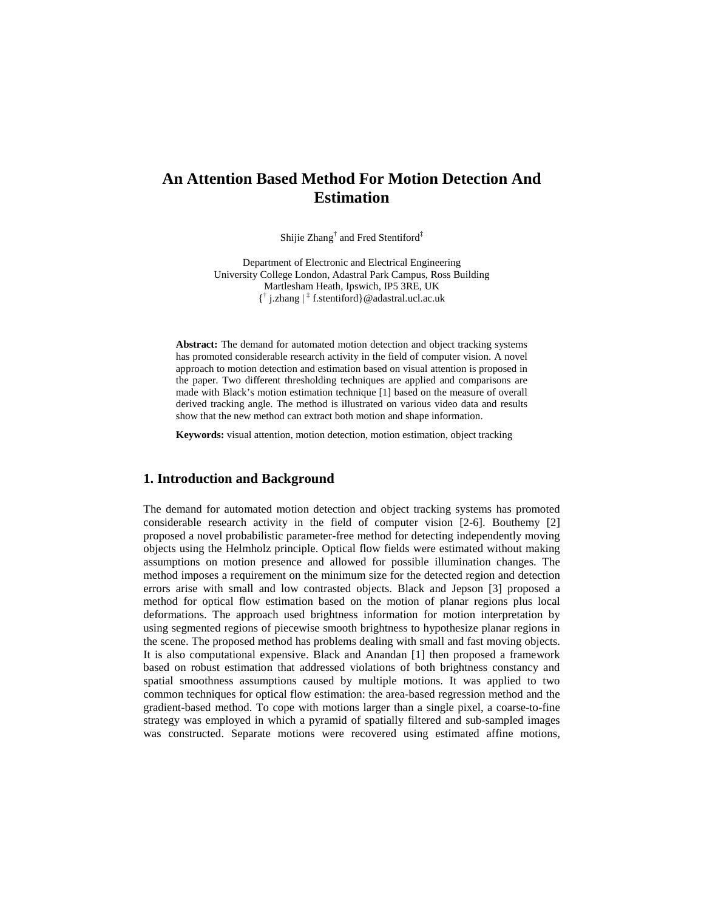# **An Attention Based Method For Motion Detection And Estimation**

Shijie Zhang<sup>†</sup> and Fred Stentiford<sup>‡</sup>

Department of Electronic and Electrical Engineering University College London, Adastral Park Campus, Ross Building Martlesham Heath, Ipswich, IP5 3RE, UK { † j.zhang | ‡ f.stentiford}@adastral.ucl.ac.uk

**Abstract:** The demand for automated motion detection and object tracking systems has promoted considerable research activity in the field of computer vision. A novel approach to motion detection and estimation based on visual attention is proposed in the paper. Two different thresholding techniques are applied and comparisons are made with Black's motion estimation technique [1] based on the measure of overall derived tracking angle. The method is illustrated on various video data and results show that the new method can extract both motion and shape information.

**Keywords:** visual attention, motion detection, motion estimation, object tracking

### **1. Introduction and Background**

The demand for automated motion detection and object tracking systems has promoted considerable research activity in the field of computer vision [2-6]. Bouthemy [2] proposed a novel probabilistic parameter-free method for detecting independently moving objects using the Helmholz principle. Optical flow fields were estimated without making assumptions on motion presence and allowed for possible illumination changes. The method imposes a requirement on the minimum size for the detected region and detection errors arise with small and low contrasted objects. Black and Jepson [3] proposed a method for optical flow estimation based on the motion of planar regions plus local deformations. The approach used brightness information for motion interpretation by using segmented regions of piecewise smooth brightness to hypothesize planar regions in the scene. The proposed method has problems dealing with small and fast moving objects. It is also computational expensive. Black and Anandan [1] then proposed a framework based on robust estimation that addressed violations of both brightness constancy and spatial smoothness assumptions caused by multiple motions. It was applied to two common techniques for optical flow estimation: the area-based regression method and the gradient-based method. To cope with motions larger than a single pixel, a coarse-to-fine strategy was employed in which a pyramid of spatially filtered and sub-sampled images was constructed. Separate motions were recovered using estimated affine motions,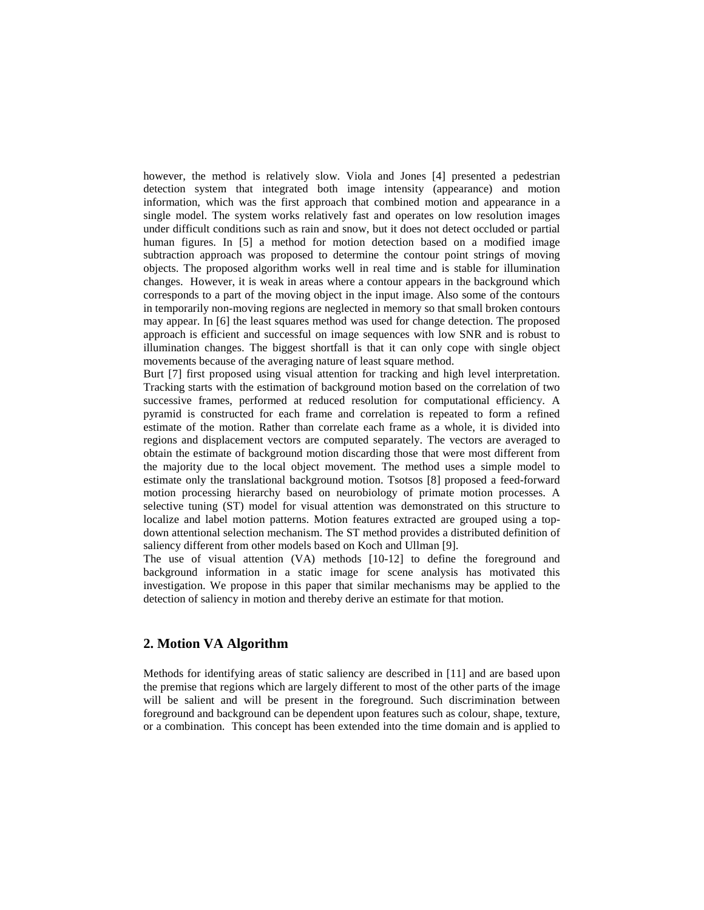however, the method is relatively slow. Viola and Jones [4] presented a pedestrian detection system that integrated both image intensity (appearance) and motion information, which was the first approach that combined motion and appearance in a single model. The system works relatively fast and operates on low resolution images under difficult conditions such as rain and snow, but it does not detect occluded or partial human figures. In [5] a method for motion detection based on a modified image subtraction approach was proposed to determine the contour point strings of moving objects. The proposed algorithm works well in real time and is stable for illumination changes. However, it is weak in areas where a contour appears in the background which corresponds to a part of the moving object in the input image. Also some of the contours in temporarily non-moving regions are neglected in memory so that small broken contours may appear. In [6] the least squares method was used for change detection. The proposed approach is efficient and successful on image sequences with low SNR and is robust to illumination changes. The biggest shortfall is that it can only cope with single object movements because of the averaging nature of least square method.

Burt [7] first proposed using visual attention for tracking and high level interpretation. Tracking starts with the estimation of background motion based on the correlation of two successive frames, performed at reduced resolution for computational efficiency. A pyramid is constructed for each frame and correlation is repeated to form a refined estimate of the motion. Rather than correlate each frame as a whole, it is divided into regions and displacement vectors are computed separately. The vectors are averaged to obtain the estimate of background motion discarding those that were most different from the majority due to the local object movement. The method uses a simple model to estimate only the translational background motion. Tsotsos [8] proposed a feed-forward motion processing hierarchy based on neurobiology of primate motion processes. A selective tuning (ST) model for visual attention was demonstrated on this structure to localize and label motion patterns. Motion features extracted are grouped using a topdown attentional selection mechanism. The ST method provides a distributed definition of saliency different from other models based on Koch and Ullman [9].

The use of visual attention (VA) methods [10-12] to define the foreground and background information in a static image for scene analysis has motivated this investigation. We propose in this paper that similar mechanisms may be applied to the detection of saliency in motion and thereby derive an estimate for that motion.

# **2. Motion VA Algorithm**

Methods for identifying areas of static saliency are described in [11] and are based upon the premise that regions which are largely different to most of the other parts of the image will be salient and will be present in the foreground. Such discrimination between foreground and background can be dependent upon features such as colour, shape, texture, or a combination. This concept has been extended into the time domain and is applied to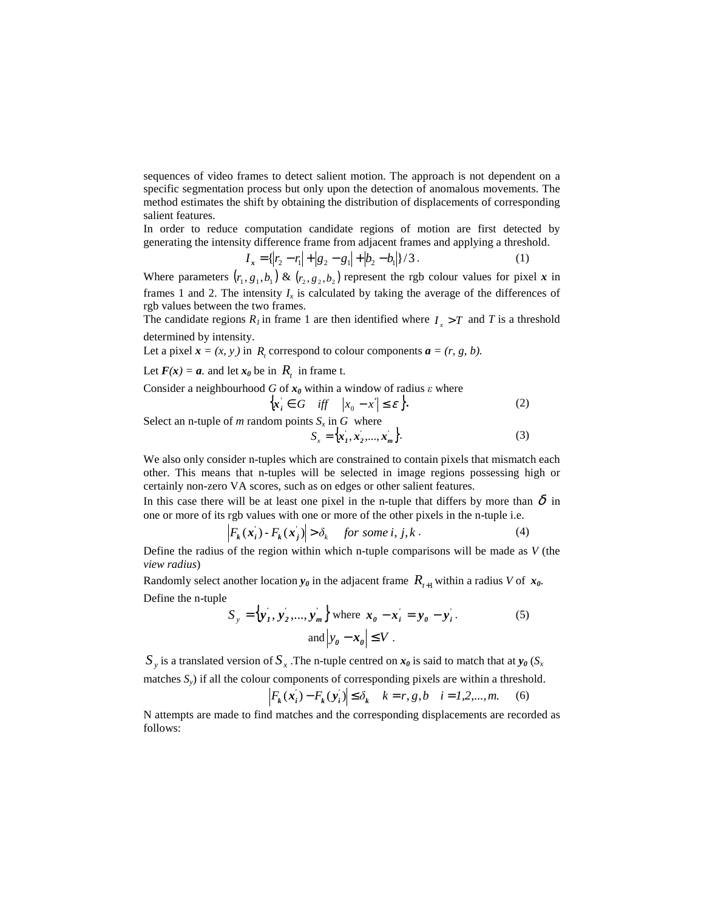sequences of video frames to detect salient motion. The approach is not dependent on a specific segmentation process but only upon the detection of anomalous movements. The method estimates the shift by obtaining the distribution of displacements of corresponding salient features.

In order to reduce computation candidate regions of motion are first detected by generating the intensity difference frame from adjacent frames and applying a threshold.

$$
I_x = \{ |r_2 - r_1| + |g_2 - g_1| + |b_2 - b_1| \} / 3.
$$
 (1)

Where parameters  $(r_1, g_1, b_1) \& (r_2, g_2, b_2)$  represent the rgb colour values for pixel *x* in frames 1 and 2. The intensity  $I_x$  is calculated by taking the average of the differences of rgb values between the two frames.

The candidate regions  $R_I$  in frame 1 are then identified where  $I_x > T$  and *T* is a threshold determined by intensity.

Let a pixel  $\mathbf{x} = (x, y)$  in  $R_t$  correspond to colour components  $\mathbf{a} = (r, g, b)$ .

Let  $F(x) = a$ , and let  $x_0$  be in  $R_t$  in frame t.

Consider a neighbourhood  $G$  of  $x_0$  within a window of radius  $\varepsilon$  where

$$
\left\{ x_{i} \in G \quad \text{iff} \quad \left| x_{0} - x' \right| \leq \varepsilon \right\}.
$$
 (2)

Select an n-tuple of *m* random points  $S_x$  in  $G$  where

$$
S_x = \{x'_1, x'_2, ..., x'_m\}.
$$
 (3)

We also only consider n-tuples which are constrained to contain pixels that mismatch each other. This means that n-tuples will be selected in image regions possessing high or certainly non-zero VA scores, such as on edges or other salient features.

In this case there will be at least one pixel in the n-tuple that differs by more than  $\delta$  in one or more of its rgb values with one or more of the other pixels in the n-tuple i.e.

$$
\left| F_k(\mathbf{x}_i) - F_k(\mathbf{x}_j) \right| > \delta_k \quad \text{for some } i, j, k \,. \tag{4}
$$

Define the radius of the region within which n-tuple comparisons will be made as *V* (the *view radius*)

Randomly select another location  $y_\theta$  in the adjacent frame  $R_{t+1}$  within a radius *V* of  $x_\theta$ . Define the n-tuple

$$
S_{y} = \left\{ \mathbf{y}_{I}^{\prime}, \mathbf{y}_{2}^{\prime}, \dots, \mathbf{y}_{m}^{\prime} \right\} \text{ where } \mathbf{x}_{0} - \mathbf{x}_{i}^{\prime} = \mathbf{y}_{0} - \mathbf{y}_{i}^{\prime}. \tag{5}
$$
  
and 
$$
\left| y_{0} - \mathbf{x}_{0} \right| \leq V.
$$

 $S_y$  is a translated version of  $S_x$  .The n-tuple centred on  $x_\theta$  is said to match that at  $y_\theta$  ( $S_x$ matches *Sy*) if all the colour components of corresponding pixels are within a threshold.

$$
F_k(x'_i) - F_k(y'_i) \le \delta_k
$$
  $k = r, g, b$   $i = 1, 2, ..., m.$  (6)

N attempts are made to find matches and the corresponding displacements are recorded as follows: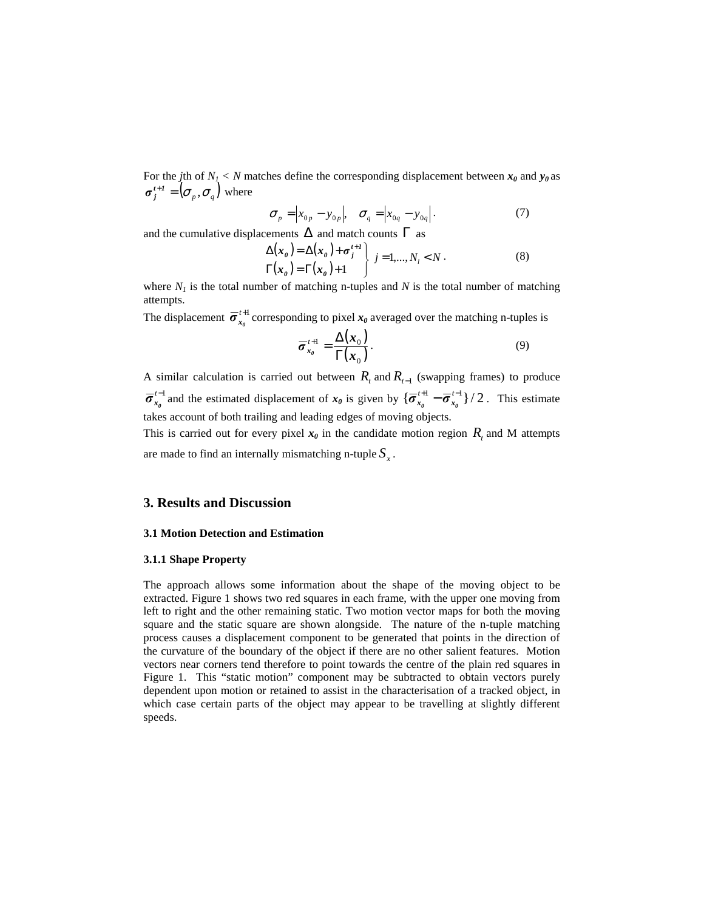For the *j*th of  $N_I < N$  matches define the corresponding displacement between  $x_0$  and  $y_0$  as  $\sigma_j^{t+1} = (\sigma_p, \sigma_q)$  where

$$
\sigma_p = \left| x_{0p} - y_{0p} \right|, \quad \sigma_q = \left| x_{0q} - y_{0q} \right|.
$$
\n<sup>(7)</sup>

and the cumulative displacements  $\Delta$  and match counts  $\Gamma$  as

$$
\Delta(\mathbf{x}_\theta) = \Delta(\mathbf{x}_\theta) + \sigma_j^{t+1} \left\{ j = 1, ..., N_l < N \right\}.
$$
\n
$$
\Gamma(\mathbf{x}_\theta) = \Gamma(\mathbf{x}_\theta) + 1 \tag{8}
$$

where  $N_I$  is the total number of matching n-tuples and  $N$  is the total number of matching attempts.

The displacement  $\bar{\sigma}_{x_0}^{t+1}$  corresponding to pixel  $x_0$  averaged over the matching n-tuples is

$$
\overline{\sigma}_{x_{\theta}}^{\ t+1} = \frac{\Delta(x_0)}{\Gamma(x_0)}.
$$
\n(9)

A similar calculation is carried out between  $R_t$  and  $R_{t-1}$  (swapping frames) to produce *t*−1  $\overline{\sigma}_{x_0}^{t-1}$  and the estimated displacement of  $x_0$  is given by  $\{\overline{\sigma}_{x_0}^{t+1} - \overline{\sigma}_{x_0}^{t-1}\}/2$  $\overline{\sigma}_{x_0}^{t+1}$  –  $\overline{\sigma}_{x_0}^{t-1}$  } / 2. This estimate takes account of both trailing and leading edges of moving objects.

This is carried out for every pixel  $x_0$  in the candidate motion region  $R_t$  and M attempts are made to find an internally mismatching n-tuple  $S<sub>x</sub>$ .

# **3. Results and Discussion**

#### **3.1 Motion Detection and Estimation**

#### **3.1.1 Shape Property**

The approach allows some information about the shape of the moving object to be extracted. Figure 1 shows two red squares in each frame, with the upper one moving from left to right and the other remaining static. Two motion vector maps for both the moving square and the static square are shown alongside. The nature of the n-tuple matching process causes a displacement component to be generated that points in the direction of the curvature of the boundary of the object if there are no other salient features. Motion vectors near corners tend therefore to point towards the centre of the plain red squares in Figure 1. This "static motion" component may be subtracted to obtain vectors purely dependent upon motion or retained to assist in the characterisation of a tracked object, in which case certain parts of the object may appear to be travelling at slightly different speeds.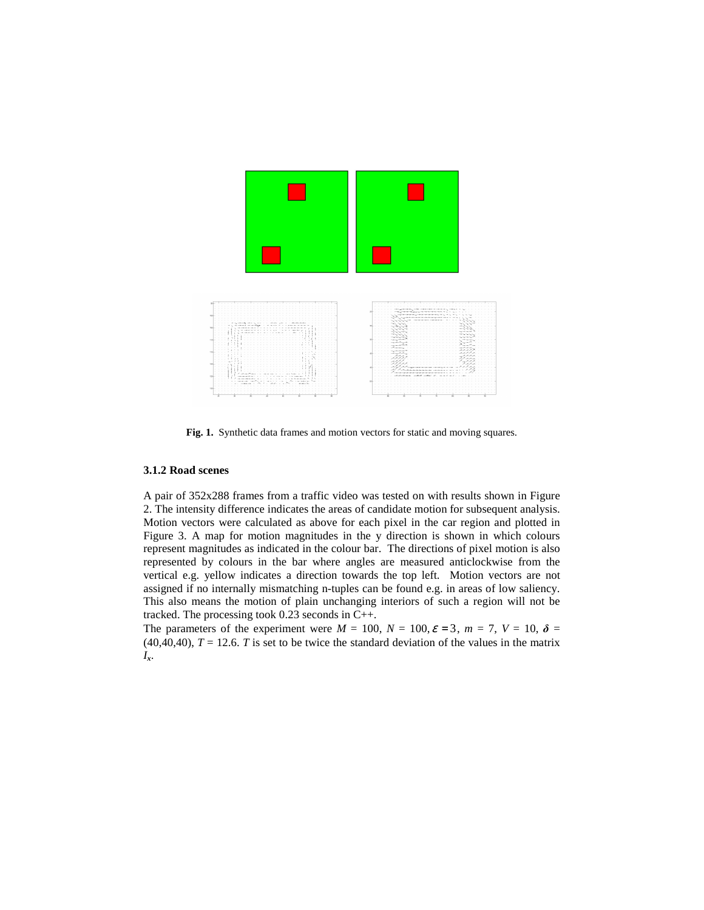

**Fig. 1.** Synthetic data frames and motion vectors for static and moving squares.

#### **3.1.2 Road scenes**

A pair of 352x288 frames from a traffic video was tested on with results shown in Figure 2. The intensity difference indicates the areas of candidate motion for subsequent analysis. Motion vectors were calculated as above for each pixel in the car region and plotted in Figure 3. A map for motion magnitudes in the y direction is shown in which colours represent magnitudes as indicated in the colour bar. The directions of pixel motion is also represented by colours in the bar where angles are measured anticlockwise from the vertical e.g. yellow indicates a direction towards the top left. Motion vectors are not assigned if no internally mismatching n-tuples can be found e.g. in areas of low saliency. This also means the motion of plain unchanging interiors of such a region will not be tracked. The processing took 0.23 seconds in C++.

The parameters of the experiment were  $M = 100$ ,  $N = 100$ ,  $\varepsilon = 3$ ,  $m = 7$ ,  $V = 10$ ,  $\delta =$  $(40,40,40)$ ,  $T = 12.6$ . *T* is set to be twice the standard deviation of the values in the matrix *Ix*.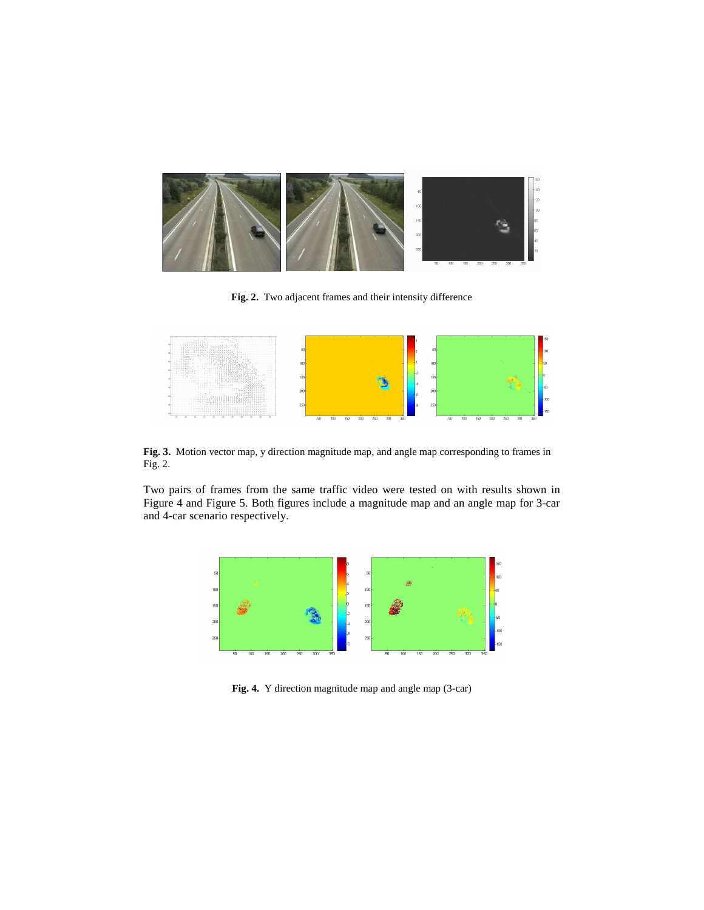

**Fig. 2.** Two adjacent frames and their intensity difference



**Fig. 3.** Motion vector map, y direction magnitude map, and angle map corresponding to frames in Fig. 2.

Two pairs of frames from the same traffic video were tested on with results shown in Figure 4 and Figure 5. Both figures include a magnitude map and an angle map for 3-car and 4-car scenario respectively.



**Fig. 4.** Y direction magnitude map and angle map (3-car)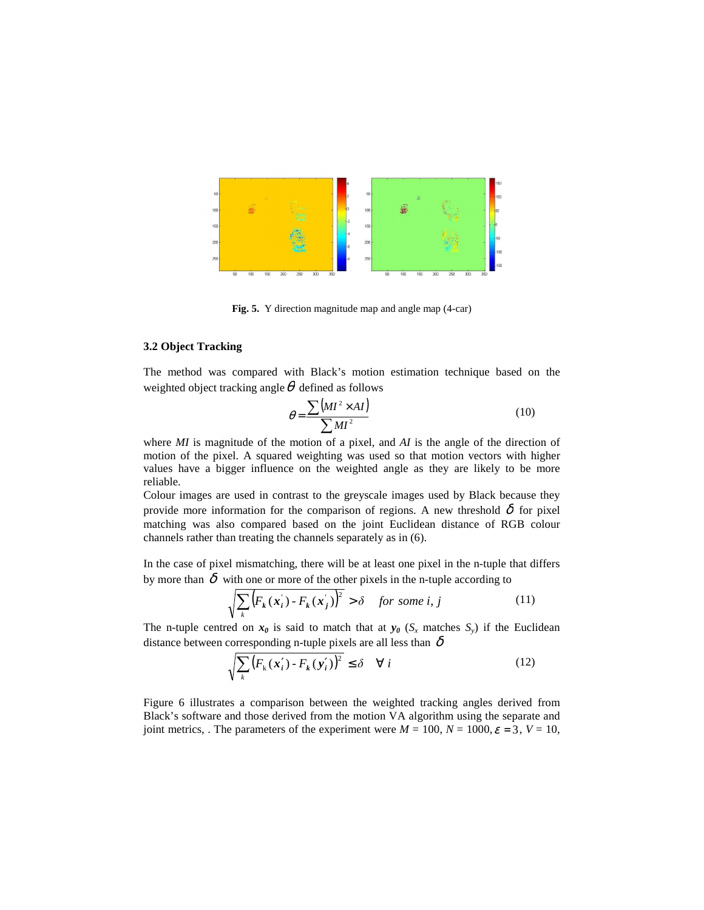

**Fig. 5.** Y direction magnitude map and angle map (4-car)

#### **3.2 Object Tracking**

The method was compared with Black's motion estimation technique based on the weighted object tracking angle  $\theta$  defined as follows

$$
\theta = \frac{\sum (MI^2 \times AI)}{\sum MI^2} \tag{10}
$$

where *MI* is magnitude of the motion of a pixel, and *AI* is the angle of the direction of motion of the pixel. A squared weighting was used so that motion vectors with higher values have a bigger influence on the weighted angle as they are likely to be more reliable.

Colour images are used in contrast to the greyscale images used by Black because they provide more information for the comparison of regions. A new threshold  $\delta$  for pixel matching was also compared based on the joint Euclidean distance of RGB colour channels rather than treating the channels separately as in (6).

In the case of pixel mismatching, there will be at least one pixel in the n-tuple that differs by more than  $\delta$  with one or more of the other pixels in the n-tuple according to

$$
\sqrt{\sum_{k} \left( F_k(x_i') - F_k(x_j') \right)^2} > \delta \quad \text{for some } i, j \tag{11}
$$

The n-tuple centred on  $x_0$  is said to match that at  $y_0$  ( $S_x$  matches  $S_y$ ) if the Euclidean distance between corresponding n-tuple pixels are all less than  $\delta$ 

$$
\sqrt{\sum_{k} \left( F_{k} \left( \boldsymbol{x}_{i}^{\prime} \right) - F_{k} \left( \boldsymbol{y}_{i}^{\prime} \right) \right)^{2}} \leq \delta \quad \forall i
$$
\n(12)

Figure 6 illustrates a comparison between the weighted tracking angles derived from Black's software and those derived from the motion VA algorithm using the separate and joint metrics, . The parameters of the experiment were  $M = 100$ ,  $N = 1000$ ,  $\varepsilon = 3$ ,  $V = 10$ ,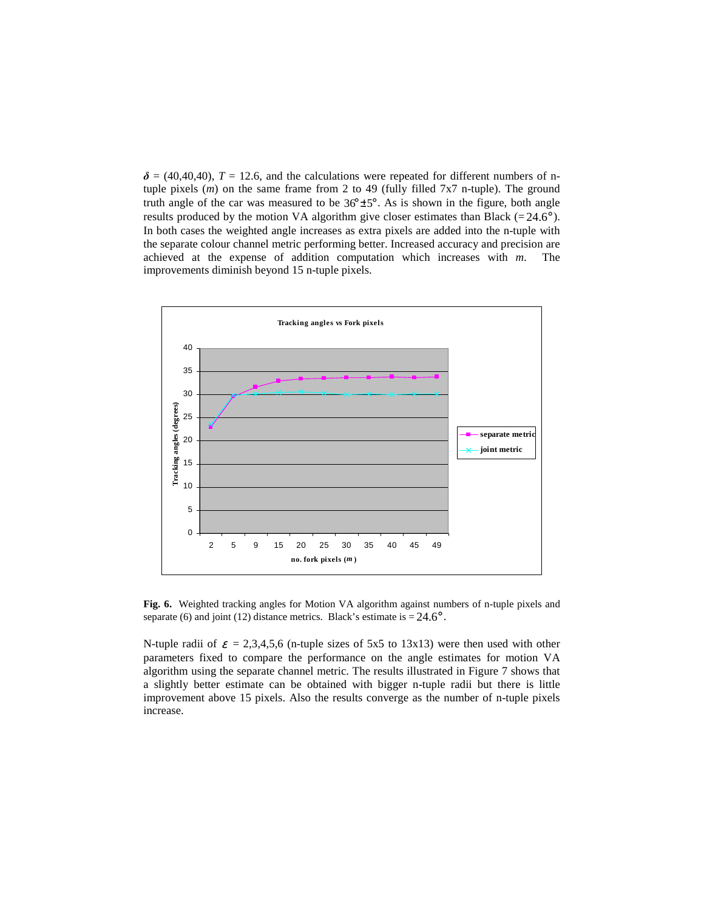$\delta = (40, 40, 40)$ ,  $T = 12.6$ , and the calculations were repeated for different numbers of ntuple pixels (*m*) on the same frame from 2 to 49 (fully filled 7x7 n-tuple). The ground truth angle of the car was measured to be  $36^{\circ} \pm 5^{\circ}$ . As is shown in the figure, both angle results produced by the motion VA algorithm give closer estimates than Black (=  $24.6^{\circ}$ ). In both cases the weighted angle increases as extra pixels are added into the n-tuple with the separate colour channel metric performing better. Increased accuracy and precision are achieved at the expense of addition computation which increases with *m*. The improvements diminish beyond 15 n-tuple pixels.



**Fig. 6.** Weighted tracking angles for Motion VA algorithm against numbers of n-tuple pixels and separate (6) and joint (12) distance metrics. Black's estimate is  $= 24.6^\circ$ .

N-tuple radii of  $\varepsilon = 2,3,4,5,6$  (n-tuple sizes of 5x5 to 13x13) were then used with other parameters fixed to compare the performance on the angle estimates for motion VA algorithm using the separate channel metric. The results illustrated in Figure 7 shows that a slightly better estimate can be obtained with bigger n-tuple radii but there is little improvement above 15 pixels. Also the results converge as the number of n-tuple pixels increase.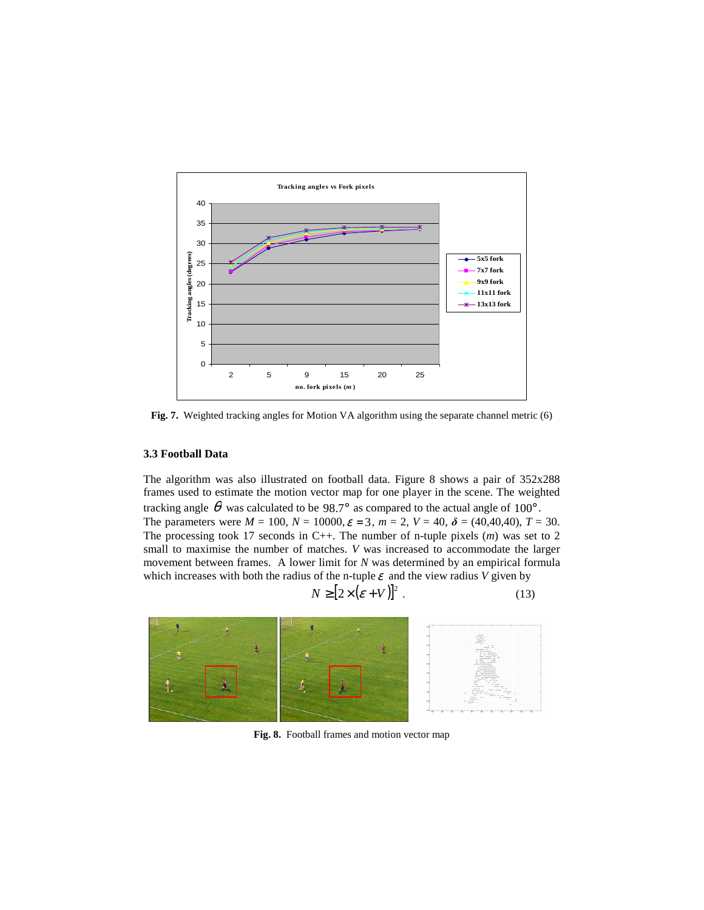

**Fig. 7.** Weighted tracking angles for Motion VA algorithm using the separate channel metric (6)

### **3.3 Football Data**

The algorithm was also illustrated on football data. Figure 8 shows a pair of 352x288 frames used to estimate the motion vector map for one player in the scene. The weighted tracking angle  $\theta$  was calculated to be 98.7° as compared to the actual angle of 100°. The parameters were  $M = 100$ ,  $N = 10000$ ,  $\varepsilon = 3$ ,  $m = 2$ ,  $V = 40$ ,  $\delta = (40, 40, 40)$ ,  $T = 30$ . The processing took 17 seconds in C++. The number of n-tuple pixels (*m*) was set to 2 small to maximise the number of matches. *V* was increased to accommodate the larger movement between frames. A lower limit for *N* was determined by an empirical formula which increases with both the radius of the n-tuple  $\varepsilon$  and the view radius *V* given by

$$
N \geq [2 \times (\varepsilon + V)]^2 \tag{13}
$$



**Fig. 8.** Football frames and motion vector map